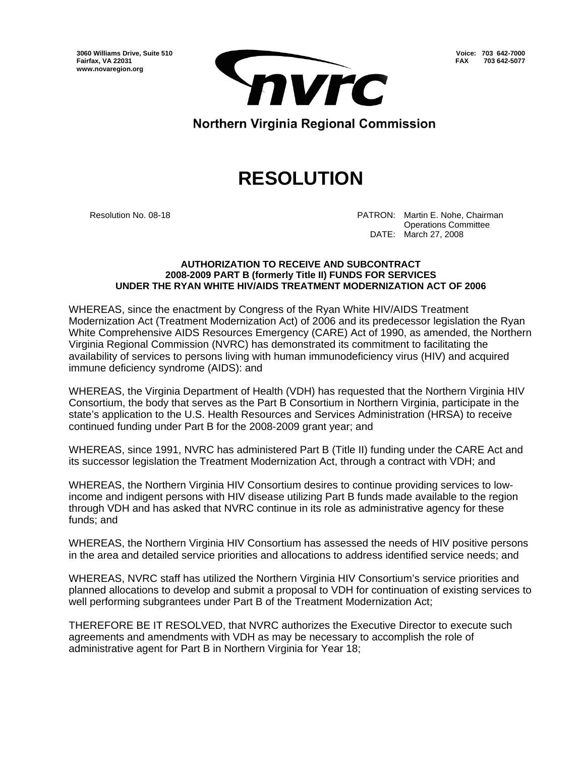**3060 Williams Drive, Suite 510 Fairfax, VA 22031 www.novaregion.org** 



**Voice: 703 642-7000 FAX 703 642-5077**

Northern Virginia Regional Commission

## **RESOLUTION**

Resolution No. 08-18 **PATRON: Martin E. Nohe, Chairman**  Operations Committee DATE: March 27, 2008

## **AUTHORIZATION TO RECEIVE AND SUBCONTRACT 2008-2009 PART B (formerly Title II) FUNDS FOR SERVICES UNDER THE RYAN WHITE HIV/AIDS TREATMENT MODERNIZATION ACT OF 2006**

WHEREAS, since the enactment by Congress of the Ryan White HIV/AIDS Treatment Modernization Act (Treatment Modernization Act) of 2006 and its predecessor legislation the Ryan White Comprehensive AIDS Resources Emergency (CARE) Act of 1990, as amended, the Northern Virginia Regional Commission (NVRC) has demonstrated its commitment to facilitating the availability of services to persons living with human immunodeficiency virus (HIV) and acquired immune deficiency syndrome (AIDS): and

WHEREAS, the Virginia Department of Health (VDH) has requested that the Northern Virginia HIV Consortium, the body that serves as the Part B Consortium in Northern Virginia, participate in the state's application to the U.S. Health Resources and Services Administration (HRSA) to receive continued funding under Part B for the 2008-2009 grant year; and

WHEREAS, since 1991, NVRC has administered Part B (Title II) funding under the CARE Act and its successor legislation the Treatment Modernization Act, through a contract with VDH; and

WHEREAS, the Northern Virginia HIV Consortium desires to continue providing services to lowincome and indigent persons with HIV disease utilizing Part B funds made available to the region through VDH and has asked that NVRC continue in its role as administrative agency for these funds; and

WHEREAS, the Northern Virginia HIV Consortium has assessed the needs of HIV positive persons in the area and detailed service priorities and allocations to address identified service needs; and

WHEREAS, NVRC staff has utilized the Northern Virginia HIV Consortium's service priorities and planned allocations to develop and submit a proposal to VDH for continuation of existing services to well performing subgrantees under Part B of the Treatment Modernization Act;

THEREFORE BE IT RESOLVED, that NVRC authorizes the Executive Director to execute such agreements and amendments with VDH as may be necessary to accomplish the role of administrative agent for Part B in Northern Virginia for Year 18;